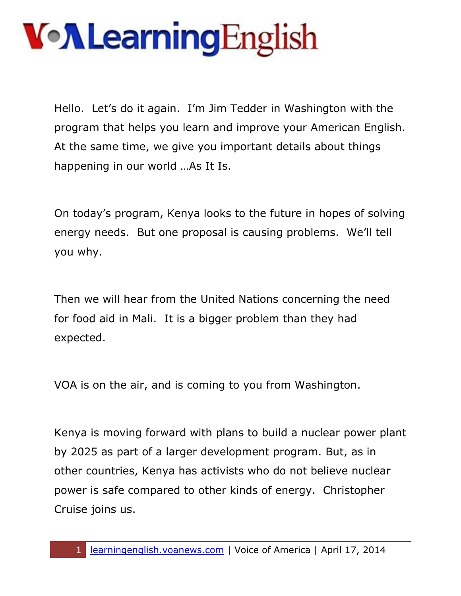Hello. Let's do it again. I'm Jim Tedder in Washington with the program that helps you learn and improve your American English. At the same time, we give you important details about things happening in our world …As It Is.

On today's program, Kenya looks to the future in hopes of solving energy needs. But one proposal is causing problems. We'll tell you why.

Then we will hear from the United Nations concerning the need for food aid in Mali. It is a bigger problem than they had expected.

VOA is on the air, and is coming to you from Washington.

Kenya is moving forward with plans to build a nuclear power plant by 2025 as part of a larger development program. But, as in other countries, Kenya has activists who do not believe nuclear power is safe compared to other kinds of energy. Christopher Cruise joins us.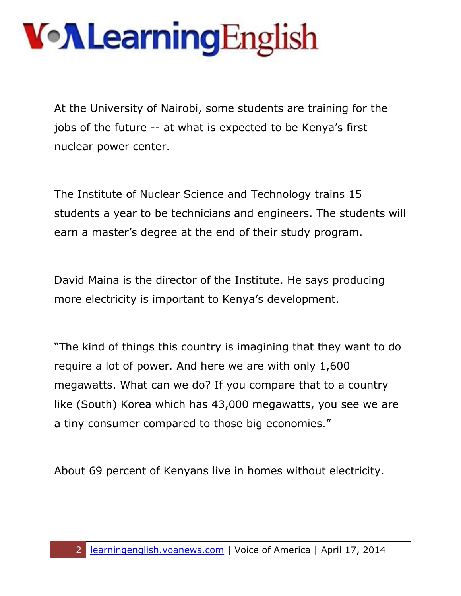At the University of Nairobi, some students are training for the jobs of the future -- at what is expected to be Kenya's first nuclear power center.

The Institute of Nuclear Science and Technology trains 15 students a year to be technicians and engineers. The students will earn a master's degree at the end of their study program.

David Maina is the director of the Institute. He says producing more electricity is important to Kenya's development.

"The kind of things this country is imagining that they want to do require a lot of power. And here we are with only 1,600 megawatts. What can we do? If you compare that to a country like (South) Korea which has 43,000 megawatts, you see we are a tiny consumer compared to those big economies."

About 69 percent of Kenyans live in homes without electricity.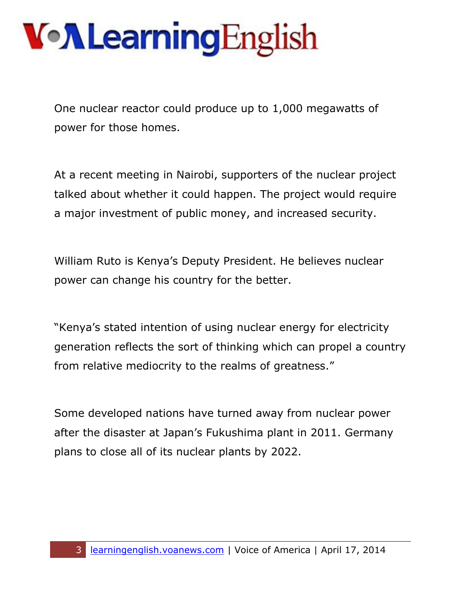One nuclear reactor could produce up to 1,000 megawatts of power for those homes.

At a recent meeting in Nairobi, supporters of the nuclear project talked about whether it could happen. The project would require a major investment of public money, and increased security.

William Ruto is Kenya's Deputy President. He believes nuclear power can change his country for the better.

"Kenya's stated intention of using nuclear energy for electricity generation reflects the sort of thinking which can propel a country from relative mediocrity to the realms of greatness."

Some developed nations have turned away from nuclear power after the disaster at Japan's Fukushima plant in 2011. Germany plans to close all of its nuclear plants by 2022.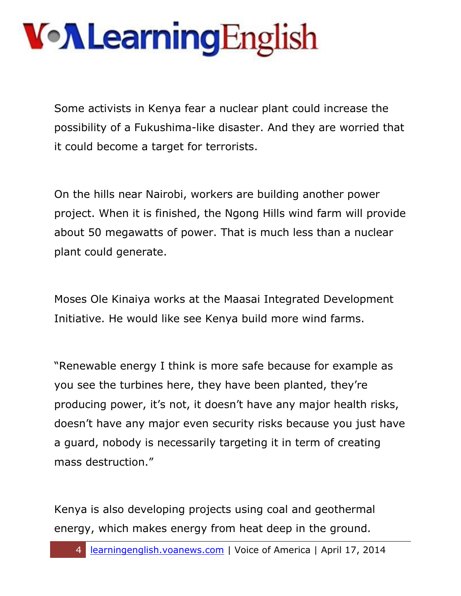Some activists in Kenya fear a nuclear plant could increase the possibility of a Fukushima-like disaster. And they are worried that it could become a target for terrorists.

On the hills near Nairobi, workers are building another power project. When it is finished, the Ngong Hills wind farm will provide about 50 megawatts of power. That is much less than a nuclear plant could generate.

Moses Ole Kinaiya works at the Maasai Integrated Development Initiative. He would like see Kenya build more wind farms.

"Renewable energy I think is more safe because for example as you see the turbines here, they have been planted, they're producing power, it's not, it doesn't have any major health risks, doesn't have any major even security risks because you just have a guard, nobody is necessarily targeting it in term of creating mass destruction."

Kenya is also developing projects using coal and geothermal energy, which makes energy from heat deep in the ground.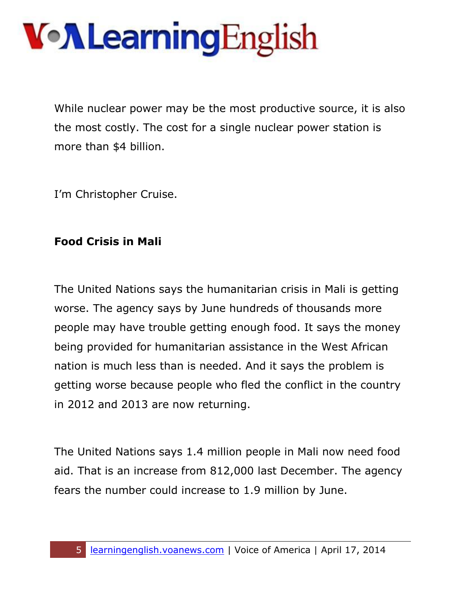While nuclear power may be the most productive source, it is also the most costly. The cost for a single nuclear power station is more than \$4 billion.

I'm Christopher Cruise.

#### **Food Crisis in Mali**

The United Nations says the humanitarian crisis in Mali is getting worse. The agency says by June hundreds of thousands more people may have trouble getting enough food. It says the money being provided for humanitarian assistance in the West African nation is much less than is needed. And it says the problem is getting worse because people who fled the conflict in the country in 2012 and 2013 are now returning.

The United Nations says 1.4 million people in Mali now need food aid. That is an increase from 812,000 last December. The agency fears the number could increase to 1.9 million by June.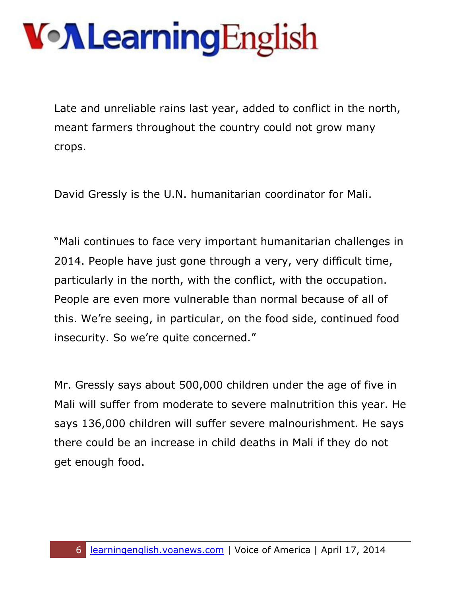Late and unreliable rains last year, added to conflict in the north, meant farmers throughout the country could not grow many crops.

David Gressly is the U.N. humanitarian coordinator for Mali.

"Mali continues to face very important humanitarian challenges in 2014. People have just gone through a very, very difficult time, particularly in the north, with the conflict, with the occupation. People are even more vulnerable than normal because of all of this. We're seeing, in particular, on the food side, continued food insecurity. So we're quite concerned."

Mr. Gressly says about 500,000 children under the age of five in Mali will suffer from moderate to severe malnutrition this year. He says 136,000 children will suffer severe malnourishment. He says there could be an increase in child deaths in Mali if they do not get enough food.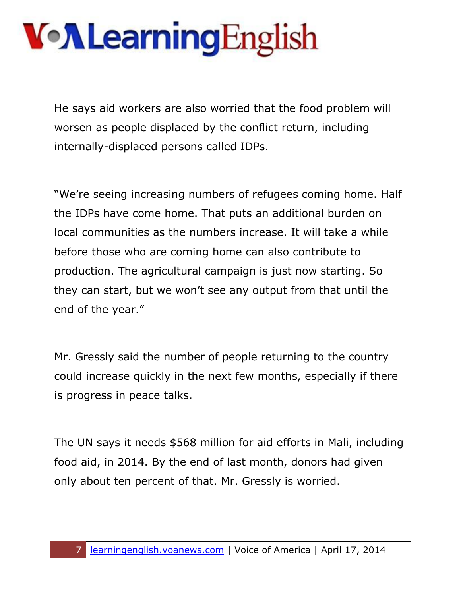He says aid workers are also worried that the food problem will worsen as people displaced by the conflict return, including internally-displaced persons called IDPs.

"We're seeing increasing numbers of refugees coming home. Half the IDPs have come home. That puts an additional burden on local communities as the numbers increase. It will take a while before those who are coming home can also contribute to production. The agricultural campaign is just now starting. So they can start, but we won't see any output from that until the end of the year."

Mr. Gressly said the number of people returning to the country could increase quickly in the next few months, especially if there is progress in peace talks.

The UN says it needs \$568 million for aid efforts in Mali, including food aid, in 2014. By the end of last month, donors had given only about ten percent of that. Mr. Gressly is worried.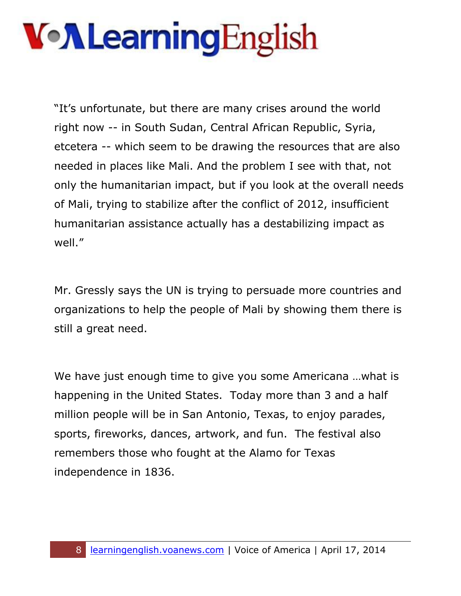"It's unfortunate, but there are many crises around the world right now -- in South Sudan, Central African Republic, Syria, etcetera -- which seem to be drawing the resources that are also needed in places like Mali. And the problem I see with that, not only the humanitarian impact, but if you look at the overall needs of Mali, trying to stabilize after the conflict of 2012, insufficient humanitarian assistance actually has a destabilizing impact as well."

Mr. Gressly says the UN is trying to persuade more countries and organizations to help the people of Mali by showing them there is still a great need.

We have just enough time to give you some Americana …what is happening in the United States. Today more than 3 and a half million people will be in San Antonio, Texas, to enjoy parades, sports, fireworks, dances, artwork, and fun. The festival also remembers those who fought at the Alamo for Texas independence in 1836.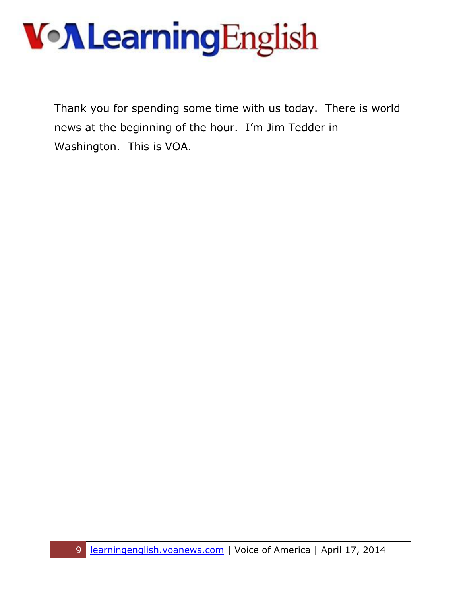#### **VollearningEnglish**

Thank you for spending some time with us today. There is world news at the beginning of the hour. I'm Jim Tedder in Washington. This is VOA.